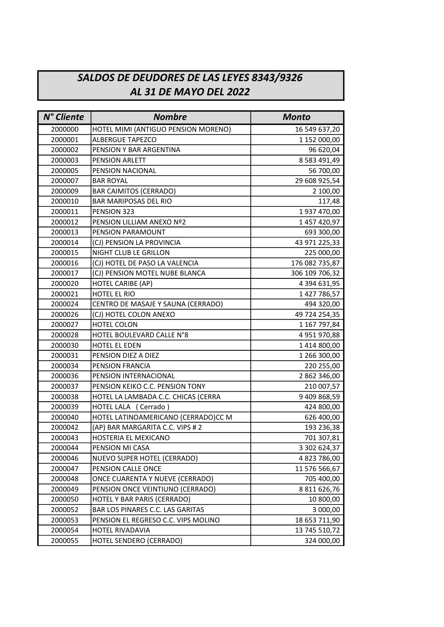## SALDOS DE DEUDORES DE LAS LEYES 8343/9326 AL 31 DE MAYO DEL 2022

| N° Cliente | <b>Nombre</b>                       | <b>Monto</b>        |
|------------|-------------------------------------|---------------------|
| 2000000    | HOTEL MIMI (ANTIGUO PENSION MORENO) | 16 549 637,20       |
| 2000001    | <b>ALBERGUE TAPEZCO</b>             | 1 152 000,00        |
| 2000002    | PENSION Y BAR ARGENTINA             | 96 620,04           |
| 2000003    | <b>PENSION ARLETT</b>               | 8 5 8 3 4 9 1 , 4 9 |
| 2000005    | PENSION NACIONAL                    | 56 700,00           |
| 2000007    | <b>BAR ROYAL</b>                    | 29 608 925,54       |
| 2000009    | <b>BAR CAIMITOS (CERRADO)</b>       | 2 100,00            |
| 2000010    | <b>BAR MARIPOSAS DEL RIO</b>        | 117,48              |
| 2000011    | PENSION 323                         | 1937 470,00         |
| 2000012    | PENSION LILLIAM ANEXO Nº2           | 1 457 420,97        |
| 2000013    | PENSION PARAMOUNT                   | 693 300,00          |
| 2000014    | (CJ) PENSION LA PROVINCIA           | 43 971 225,33       |
| 2000015    | NIGHT CLUB LE GRILLON               | 225 000,00          |
| 2000016    | (CJ) HOTEL DE PASO LA VALENCIA      | 176 082 735,87      |
| 2000017    | (CJ) PENSION MOTEL NUBE BLANCA      | 306 109 706,32      |
| 2000020    | HOTEL CARIBE (AP)                   | 4 394 631,95        |
| 2000021    | <b>HOTEL EL RIO</b>                 | 1 427 786,57        |
| 2000024    | CENTRO DE MASAJE Y SAUNA (CERRADO)  | 494 320,00          |
| 2000026    | (CJ) HOTEL COLON ANEXO              | 49 724 254,35       |
| 2000027    | HOTEL COLON                         | 1 167 797,84        |
| 2000028    | HOTEL BOULEVARD CALLE N°8           | 4 951 970,88        |
| 2000030    | HOTEL EL EDEN                       | 1414800,00          |
| 2000031    | PENSION DIEZ A DIEZ                 | 1 266 300,00        |
| 2000034    | PENSION FRANCIA                     | 220 255,00          |
| 2000036    | PENSION INTERNACIONAL               | 2 862 346,00        |
| 2000037    | PENSION KEIKO C.C. PENSION TONY     | 210 007,57          |
| 2000038    | HOTEL LA LAMBADA C.C. CHICAS (CERRA | 9 409 868,59        |
| 2000039    | HOTEL LALA (Cerrado)                | 424 800,00          |
| 2000040    | HOTEL LATINOAMERICANO (CERRADO)CC M | 626 400,00          |
| 2000042    | (AP) BAR MARGARITA C.C. VIPS # 2    | 193 236,38          |
| 2000043    | HOSTERIA EL MEXICANO                | 701 307,81          |
| 2000044    | PENSION MI CASA                     | 3 302 624,37        |
| 2000046    | NUEVO SUPER HOTEL (CERRADO)         | 4823786,00          |
| 2000047    | PENSION CALLE ONCE                  | 11 576 566,67       |
| 2000048    | ONCE CUARENTA Y NUEVE (CERRADO)     | 705 400,00          |
| 2000049    | PENSION ONCE VEINTIUNO (CERRADO)    | 8 811 626,76        |
| 2000050    | HOTEL Y BAR PARIS (CERRADO)         | 10 800,00           |
| 2000052    | BAR LOS PINARES C.C. LAS GARITAS    | 3 000,00            |
| 2000053    | PENSION EL REGRESO C.C. VIPS MOLINO | 18 653 711,90       |
| 2000054    | HOTEL RIVADAVIA                     | 13 745 510,72       |
| 2000055    | HOTEL SENDERO (CERRADO)             | 324 000,00          |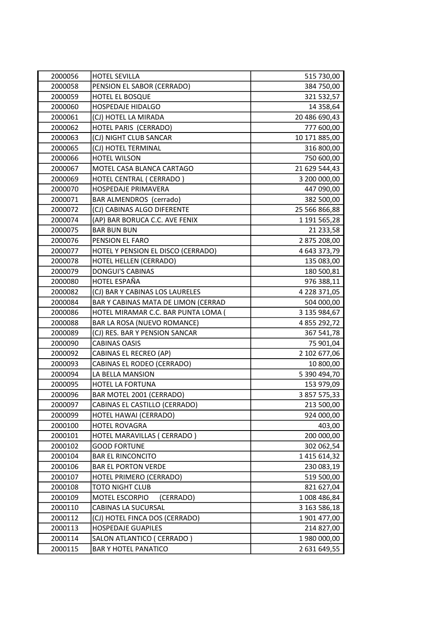| 2000056 | <b>HOTEL SEVILLA</b>                | 515 730,00          |
|---------|-------------------------------------|---------------------|
| 2000058 | PENSION EL SABOR (CERRADO)          | 384 750,00          |
| 2000059 | HOTEL EL BOSQUE                     | 321 532,57          |
| 2000060 | <b>HOSPEDAJE HIDALGO</b>            | 14 358,64           |
| 2000061 | (CJ) HOTEL LA MIRADA                | 20 486 690,43       |
| 2000062 | HOTEL PARIS (CERRADO)               | 777 600,00          |
| 2000063 | (CJ) NIGHT CLUB SANCAR              | 10 171 885,00       |
| 2000065 | (CJ) HOTEL TERMINAL                 | 316 800,00          |
| 2000066 | HOTEL WILSON                        | 750 600,00          |
| 2000067 | MOTEL CASA BLANCA CARTAGO           | 21 629 544,43       |
| 2000069 | HOTEL CENTRAL ( CERRADO )           | 3 200 000,00        |
| 2000070 | HOSPEDAJE PRIMAVERA                 | 447 090,00          |
| 2000071 | BAR ALMENDROS (cerrado)             | 382 500,00          |
| 2000072 | (CJ) CABINAS ALGO DIFERENTE         | 25 566 866,88       |
| 2000074 | (AP) BAR BORUCA C.C. AVE FENIX      | 1 191 565,28        |
| 2000075 | <b>BAR BUN BUN</b>                  | 21 233,58           |
| 2000076 | PENSION EL FARO                     | 2 875 208,00        |
| 2000077 | HOTEL Y PENSION EL DISCO (CERRADO)  | 4 643 373,79        |
| 2000078 | HOTEL HELLEN (CERRADO)              | 135 083,00          |
| 2000079 | <b>DONGUI'S CABINAS</b>             | 180 500,81          |
| 2000080 | HOTEL ESPAÑA                        | 976 388,11          |
| 2000082 | (CJ) BAR Y CABINAS LOS LAURELES     | 4 228 371,05        |
| 2000084 | BAR Y CABINAS MATA DE LIMON (CERRAD | 504 000,00          |
| 2000086 | HOTEL MIRAMAR C.C. BAR PUNTA LOMA ( | 3 135 984,67        |
| 2000088 | BAR LA ROSA (NUEVO ROMANCE)         | 4 855 292,72        |
| 2000089 | (CJ) RES. BAR Y PENSION SANCAR      | 367 541,78          |
| 2000090 | <b>CABINAS OASIS</b>                | 75 901,04           |
| 2000092 | CABINAS EL RECREO (AP)              | 2 102 677,06        |
| 2000093 | CABINAS EL RODEO (CERRADO)          | 10 800,00           |
| 2000094 | LA BELLA MANSION                    | 5 390 494,70        |
| 2000095 | HOTEL LA FORTUNA                    | 153 979,09          |
| 2000096 | BAR MOTEL 2001 (CERRADO)            | 3 857 575,33        |
| 2000097 | CABINAS EL CASTILLO (CERRADO)       | 213 500,00          |
| 2000099 | HOTEL HAWAI (CERRADO)               | 924 000,00          |
| 2000100 | HOTEL ROVAGRA                       | 403,00              |
| 2000101 | HOTEL MARAVILLAS ( CERRADO )        | 200 000,00          |
| 2000102 | <b>GOOD FORTUNE</b>                 | 302 062,54          |
| 2000104 | <b>BAR EL RINCONCITO</b>            | 1 4 1 5 6 1 4 , 3 2 |
| 2000106 | <b>BAR EL PORTON VERDE</b>          | 230 083,19          |
| 2000107 | HOTEL PRIMERO (CERRADO)             | 519 500,00          |
| 2000108 | TOTO NIGHT CLUB                     | 821 627,04          |
| 2000109 | MOTEL ESCORPIO<br>(CERRADO)         | 1008 486,84         |
| 2000110 | CABINAS LA SUCURSAL                 | 3 163 586,18        |
| 2000112 | (CJ) HOTEL FINCA DOS (CERRADO)      | 1 901 477,00        |
| 2000113 | <b>HOSPEDAJE GUAPILES</b>           | 214 827,00          |
| 2000114 | SALON ATLANTICO ( CERRADO )         | 1 980 000,00        |
| 2000115 | <b>BAR Y HOTEL PANATICO</b>         | 2 631 649,55        |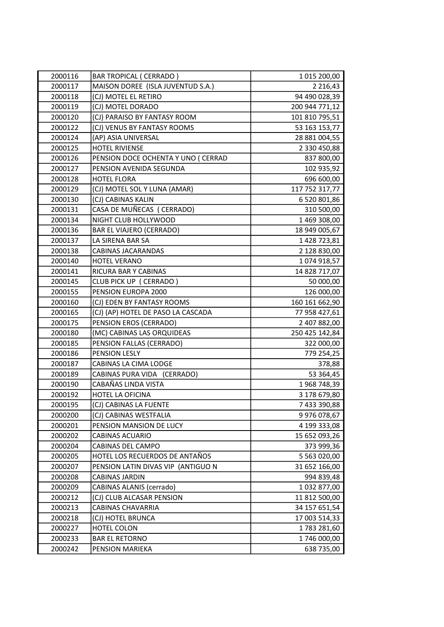| 2000116 | <b>BAR TROPICAL ( CERRADO )</b>     | 1 015 200,00   |
|---------|-------------------------------------|----------------|
| 2000117 | MAISON DOREE (ISLA JUVENTUD S.A.)   | 2 2 1 6 , 4 3  |
| 2000118 | (CJ) MOTEL EL RETIRO                | 94 490 028,39  |
| 2000119 | (CJ) MOTEL DORADO                   | 200 944 771,12 |
| 2000120 | (CJ) PARAISO BY FANTASY ROOM        | 101 810 795,51 |
| 2000122 | (CJ) VENUS BY FANTASY ROOMS         | 53 163 153,77  |
| 2000124 | (AP) ASIA UNIVERSAL                 | 28 881 004,55  |
| 2000125 | <b>HOTEL RIVIENSE</b>               | 2 330 450,88   |
| 2000126 | PENSION DOCE OCHENTA Y UNO ( CERRAD | 837 800,00     |
| 2000127 | PENSION AVENIDA SEGUNDA             | 102 935,92     |
| 2000128 | <b>HOTEL FLORA</b>                  | 696 600,00     |
| 2000129 | (CJ) MOTEL SOL Y LUNA (AMAR)        | 117 752 317,77 |
| 2000130 | (CJ) CABINAS KALIN                  | 6 520 801,86   |
| 2000131 | CASA DE MUÑECAS ( CERRADO)          | 310 500,00     |
| 2000134 | NIGHT CLUB HOLLYWOOD                | 1469 308,00    |
| 2000136 | <b>BAR EL VIAJERO (CERRADO)</b>     | 18 949 005,67  |
| 2000137 | LA SIRENA BAR SA                    | 1428723,81     |
| 2000138 | CABINAS JACARANDAS                  | 2 128 830,00   |
| 2000140 | <b>HOTEL VERANO</b>                 | 1074918,57     |
| 2000141 | RICURA BAR Y CABINAS                | 14 828 717,07  |
| 2000145 | CLUB PICK UP (CERRADO)              | 50 000,00      |
| 2000155 | PENSION EUROPA 2000                 | 126 000,00     |
| 2000160 | (CJ) EDEN BY FANTASY ROOMS          | 160 161 662,90 |
| 2000165 | (CJ) (AP) HOTEL DE PASO LA CASCADA  | 77 958 427,61  |
| 2000175 | PENSION EROS (CERRADO)              | 2 407 882,00   |
| 2000180 | (MC) CABINAS LAS ORQUIDEAS          | 250 425 142,84 |
| 2000185 | PENSION FALLAS (CERRADO)            | 322 000,00     |
| 2000186 | PENSION LESLY                       | 779 254,25     |
| 2000187 | CABINAS LA CIMA LODGE               | 378,88         |
| 2000189 | CABINAS PURA VIDA (CERRADO)         | 53 364,45      |
| 2000190 | CABAÑAS LINDA VISTA                 | 1968 748,39    |
| 2000192 | HOTEL LA OFICINA                    | 3 178 679,80   |
| 2000195 | (CJ) CABINAS LA FUENTE              | 7 433 390,88   |
| 2000200 | (CJ) CABINAS WESTFALIA              | 9 976 078,67   |
| 2000201 | PENSION MANSION DE LUCY             | 4 199 333,08   |
| 2000202 | CABINAS ACUARIO                     | 15 652 093,26  |
| 2000204 | CABINAS DEL CAMPO                   | 373 999,36     |
| 2000205 | HOTEL LOS RECUERDOS DE ANTAÑOS      | 5 563 020,00   |
| 2000207 | PENSION LATIN DIVAS VIP (ANTIGUO N  | 31 652 166,00  |
| 2000208 | CABINAS JARDIN                      | 994 839,48     |
| 2000209 | CABINAS ALANIS (cerrado)            | 1032877,00     |
| 2000212 | (CJ) CLUB ALCASAR PENSION           | 11 812 500,00  |
| 2000213 | CABINAS CHAVARRIA                   | 34 157 651,54  |
| 2000218 | (CJ) HOTEL BRUNCA                   | 17 003 514,33  |
| 2000227 | HOTEL COLON                         | 1783 281,60    |
| 2000233 | <b>BAR EL RETORNO</b>               | 1746 000,00    |
| 2000242 | PENSION MARIEKA                     | 638 735,00     |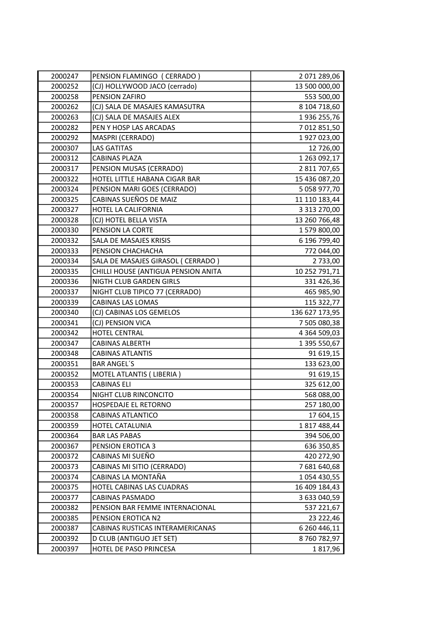| 2000247 | PENSION FLAMINGO (CERRADO)          | 2 071 289,06        |
|---------|-------------------------------------|---------------------|
| 2000252 | (CJ) HOLLYWOOD JACO (cerrado)       | 13 500 000,00       |
| 2000258 | PENSION ZAFIRO                      | 553 500,00          |
| 2000262 | (CJ) SALA DE MASAJES KAMASUTRA      | 8 104 718,60        |
| 2000263 | (CJ) SALA DE MASAJES ALEX           | 1936 255,76         |
| 2000282 | PEN Y HOSP LAS ARCADAS              | 7 012 851,50        |
| 2000292 | MASPRI (CERRADO)                    | 1927023,00          |
| 2000307 | <b>LAS GATITAS</b>                  | 12 726,00           |
| 2000312 | <b>CABINAS PLAZA</b>                | 1 263 092,17        |
| 2000317 | PENSION MUSAS (CERRADO)             | 2 811 707,65        |
| 2000322 | HOTEL LITTLE HABANA CIGAR BAR       | 15 436 087,20       |
| 2000324 | PENSION MARI GOES (CERRADO)         | 5 058 977,70        |
| 2000325 | CABINAS SUEÑOS DE MAIZ              | 11 110 183,44       |
| 2000327 | HOTEL LA CALIFORNIA                 | 3 313 270,00        |
| 2000328 | (CJ) HOTEL BELLA VISTA              | 13 260 766,48       |
| 2000330 | PENSION LA CORTE                    | 1579800,00          |
| 2000332 | SALA DE MASAJES KRISIS              | 6 196 799,40        |
| 2000333 | PENSION CHACHACHA                   | 772 044,00          |
| 2000334 | SALA DE MASAJES GIRASOL ( CERRADO ) | 2 733,00            |
| 2000335 | CHILLI HOUSE (ANTIGUA PENSION ANITA | 10 252 791,71       |
| 2000336 | NIGTH CLUB GARDEN GIRLS             | 331 426,36          |
| 2000337 | NIGHT CLUB TIPICO 77 (CERRADO)      | 465 985,90          |
| 2000339 | CABINAS LAS LOMAS                   | 115 322,77          |
| 2000340 | (CJ) CABINAS LOS GEMELOS            | 136 627 173,95      |
| 2000341 | (CJ) PENSION VICA                   | 7 505 080,38        |
| 2000342 | HOTEL CENTRAL                       | 4 3 6 4 5 0 9 , 0 3 |
| 2000347 | CABINAS ALBERTH                     | 1 395 550,67        |
| 2000348 | <b>CABINAS ATLANTIS</b>             | 91 619,15           |
| 2000351 | <b>BAR ANGEL'S</b>                  | 133 623,00          |
| 2000352 | MOTEL ATLANTIS (LIBERIA)            | 91 619,15           |
| 2000353 | CABINAS ELI                         | 325 612,00          |
| 2000354 | NIGHT CLUB RINCONCITO               | 568 088,00          |
| 2000357 | HOSPEDAJE EL RETORNO                | 257 180,00          |
| 2000358 | <b>CABINAS ATLANTICO</b>            | 17 604,15           |
| 2000359 | HOTEL CATALUNIA                     | 1817488,44          |
| 2000364 | <b>BAR LAS PABAS</b>                | 394 506,00          |
| 2000367 | PENSION EROTICA 3                   | 636 350,85          |
| 2000372 | CABINAS MI SUEÑO                    | 420 272,90          |
| 2000373 | CABINAS MI SITIO (CERRADO)          | 7 681 640,68        |
| 2000374 | CABINAS LA MONTAÑA                  | 1 054 430,55        |
| 2000375 | HOTEL CABINAS LAS CUADRAS           | 16 409 184,43       |
| 2000377 | <b>CABINAS PASMADO</b>              | 3 633 040,59        |
| 2000382 | PENSION BAR FEMME INTERNACIONAL     | 537 221,67          |
| 2000385 | PENSION EROTICA N2                  | 23 222,46           |
| 2000387 | CABINAS RUSTICAS INTERAMERICANAS    | 6 260 446,11        |
| 2000392 | D CLUB (ANTIGUO JET SET)            | 8760782,97          |
| 2000397 | HOTEL DE PASO PRINCESA              | 1817,96             |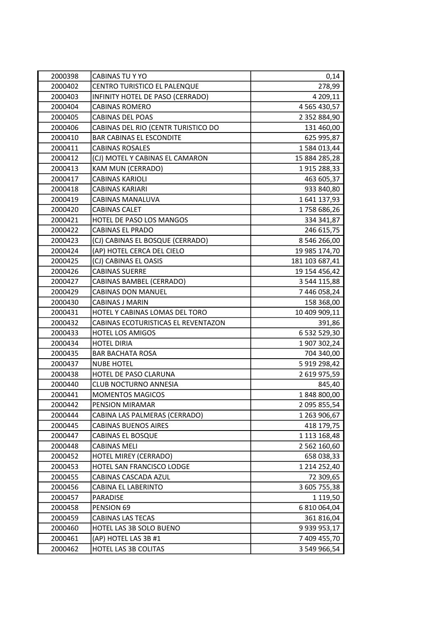| 2000398 | <b>CABINAS TU Y YO</b>              | 0,14                |
|---------|-------------------------------------|---------------------|
| 2000402 | CENTRO TURISTICO EL PALENQUE        | 278,99              |
| 2000403 | INFINITY HOTEL DE PASO (CERRADO)    | 4 209,11            |
| 2000404 | <b>CABINAS ROMERO</b>               | 4 5 6 5 4 3 0 , 5 7 |
| 2000405 | CABINAS DEL POAS                    | 2 352 884,90        |
| 2000406 | CABINAS DEL RIO (CENTR TURISTICO DO | 131 460,00          |
| 2000410 | <b>BAR CABINAS EL ESCONDITE</b>     | 625 995,87          |
| 2000411 | <b>CABINAS ROSALES</b>              | 1584013,44          |
| 2000412 | (CJ) MOTEL Y CABINAS EL CAMARON     | 15 884 285,28       |
| 2000413 | KAM MUN (CERRADO)                   | 1915 288,33         |
| 2000417 | <b>CABINAS KARIOLI</b>              | 463 605,37          |
| 2000418 | <b>CABINAS KARIARI</b>              | 933 840,80          |
| 2000419 | CABINAS MANALUVA                    | 1641137,93          |
| 2000420 | <b>CABINAS CALET</b>                | 1758 686,26         |
| 2000421 | HOTEL DE PASO LOS MANGOS            | 334 341,87          |
| 2000422 | <b>CABINAS EL PRADO</b>             | 246 615,75          |
| 2000423 | (CJ) CABINAS EL BOSQUE (CERRADO)    | 8 546 266,00        |
| 2000424 | (AP) HOTEL CERCA DEL CIELO          | 19 985 174,70       |
| 2000425 | (CJ) CABINAS EL OASIS               | 181 103 687,41      |
| 2000426 | <b>CABINAS SUERRE</b>               | 19 154 456,42       |
| 2000427 | CABINAS BAMBEL (CERRADO)            | 3 544 115,88        |
| 2000429 | <b>CABINAS DON MANUEL</b>           | 7 446 058,24        |
| 2000430 | <b>CABINAS J MARIN</b>              | 158 368,00          |
| 2000431 | HOTEL Y CABINAS LOMAS DEL TORO      | 10 409 909,11       |
| 2000432 | CABINAS ECOTURISTICAS EL REVENTAZON | 391,86              |
| 2000433 | <b>HOTEL LOS AMIGOS</b>             | 6 532 529,30        |
| 2000434 | <b>HOTEL DIRIA</b>                  | 1 907 302,24        |
| 2000435 | <b>BAR BACHATA ROSA</b>             | 704 340,00          |
| 2000437 | <b>NUBE HOTEL</b>                   | 5 919 298,42        |
| 2000438 | HOTEL DE PASO CLARUNA               | 2 619 975,59        |
| 2000440 | <b>CLUB NOCTURNO ANNESIA</b>        | 845,40              |
| 2000441 | <b>MOMENTOS MAGICOS</b>             | 1848800,00          |
| 2000442 | PENSION MIRAMAR                     | 2 095 855,54        |
| 2000444 | CABINA LAS PALMERAS (CERRADO)       | 1 263 906,67        |
| 2000445 | <b>CABINAS BUENOS AIRES</b>         | 418 179,75          |
| 2000447 | CABINAS EL BOSQUE                   | 1 113 168,48        |
| 2000448 | <b>CABINAS MELI</b>                 | 2 562 160,60        |
| 2000452 | HOTEL MIREY (CERRADO)               | 658 038,33          |
| 2000453 | HOTEL SAN FRANCISCO LODGE           | 1 214 252,40        |
| 2000455 | CABINAS CASCADA AZUL                | 72 309,65           |
| 2000456 | CABINA EL LABERINTO                 | 3 605 755,38        |
| 2000457 | PARADISE                            | 1 119,50            |
| 2000458 | PENSION 69                          | 6 810 064,04        |
| 2000459 | CABINAS LAS TECAS                   | 361 816,04          |
| 2000460 | HOTEL LAS 3B SOLO BUENO             | 9 9 3 9 9 5 3 , 1 7 |
| 2000461 | (AP) HOTEL LAS 3B #1                | 7 409 455,70        |
| 2000462 | HOTEL LAS 3B COLITAS                | 3 549 966,54        |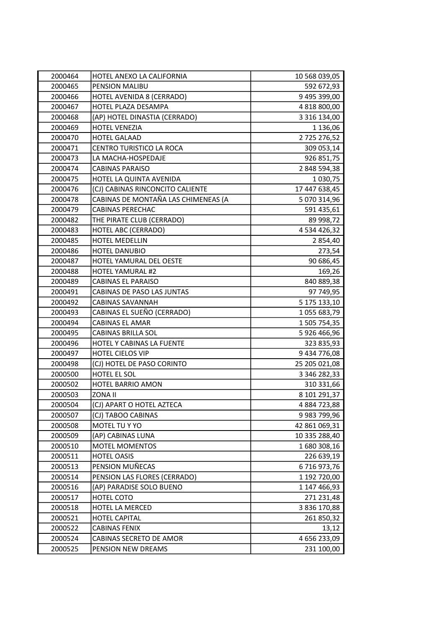| 2000464 | HOTEL ANEXO LA CALIFORNIA           | 10 568 039,05 |
|---------|-------------------------------------|---------------|
| 2000465 | PENSION MALIBU                      | 592 672,93    |
| 2000466 | HOTEL AVENIDA 8 (CERRADO)           | 9 495 399,00  |
| 2000467 | HOTEL PLAZA DESAMPA                 | 4 818 800,00  |
| 2000468 | (AP) HOTEL DINASTIA (CERRADO)       | 3 316 134,00  |
| 2000469 | <b>HOTEL VENEZIA</b>                | 1 136,06      |
| 2000470 | <b>HOTEL GALAAD</b>                 | 2725 276,52   |
| 2000471 | CENTRO TURISTICO LA ROCA            | 309 053,14    |
| 2000473 | LA MACHA-HOSPEDAJE                  | 926 851,75    |
| 2000474 | <b>CABINAS PARAISO</b>              | 2 848 594,38  |
| 2000475 | HOTEL LA QUINTA AVENIDA             | 1 030,75      |
| 2000476 | (CJ) CABINAS RINCONCITO CALIENTE    | 17 447 638,45 |
| 2000478 | CABINAS DE MONTAÑA LAS CHIMENEAS (A | 5 070 314,96  |
| 2000479 | CABINAS PERECHAC                    | 591 435,61    |
| 2000482 | THE PIRATE CLUB (CERRADO)           | 89 998,72     |
| 2000483 | HOTEL ABC (CERRADO)                 | 4 534 426,32  |
| 2000485 | <b>HOTEL MEDELLIN</b>               | 2 854,40      |
| 2000486 | HOTEL DANUBIO                       | 273,54        |
| 2000487 | HOTEL YAMURAL DEL OESTE             | 90 686,45     |
| 2000488 | <b>HOTEL YAMURAL #2</b>             | 169,26        |
| 2000489 | CABINAS EL PARAISO                  | 840 889,38    |
| 2000491 | CABINAS DE PASO LAS JUNTAS          | 97 749,95     |
| 2000492 | CABINAS SAVANNAH                    | 5 175 133,10  |
| 2000493 | CABINAS EL SUEÑO (CERRADO)          | 1055 683,79   |
| 2000494 | <b>CABINAS EL AMAR</b>              | 1 505 754,35  |
| 2000495 | CABINAS BRILLA SOL                  | 5 926 466,96  |
| 2000496 | HOTEL Y CABINAS LA FUENTE           | 323 835,93    |
| 2000497 | <b>HOTEL CIELOS VIP</b>             | 9 434 776,08  |
| 2000498 | (CJ) HOTEL DE PASO CORINTO          | 25 205 021,08 |
| 2000500 | HOTEL EL SOL                        | 3 346 282,33  |
| 2000502 | HOTEL BARRIO AMON                   | 310 331,66    |
| 2000503 | ZONA II                             | 8 101 291,37  |
| 2000504 | (CJ) APART O HOTEL AZTECA           | 4 884 723,88  |
| 2000507 | (CJ) TABOO CABINAS                  | 9 983 799,96  |
| 2000508 | MOTEL TU Y YO                       | 42 861 069,31 |
| 2000509 | (AP) CABINAS LUNA                   | 10 335 288,40 |
| 2000510 | <b>MOTEL MOMENTOS</b>               | 1680308,16    |
| 2000511 | <b>HOTEL OASIS</b>                  | 226 639,19    |
| 2000513 | PENSION MUÑECAS                     | 6716973,76    |
| 2000514 | PENSION LAS FLORES (CERRADO)        | 1 192 720,00  |
| 2000516 | (AP) PARADISE SOLO BUENO            | 1 147 466,93  |
| 2000517 | HOTEL COTO                          | 271 231,48    |
| 2000518 | HOTEL LA MERCED                     | 3 836 170,88  |
| 2000521 | <b>HOTEL CAPITAL</b>                | 261 850,32    |
| 2000522 | <b>CABINAS FENIX</b>                | 13,12         |
| 2000524 | CABINAS SECRETO DE AMOR             | 4 656 233,09  |
| 2000525 | PENSION NEW DREAMS                  | 231 100,00    |